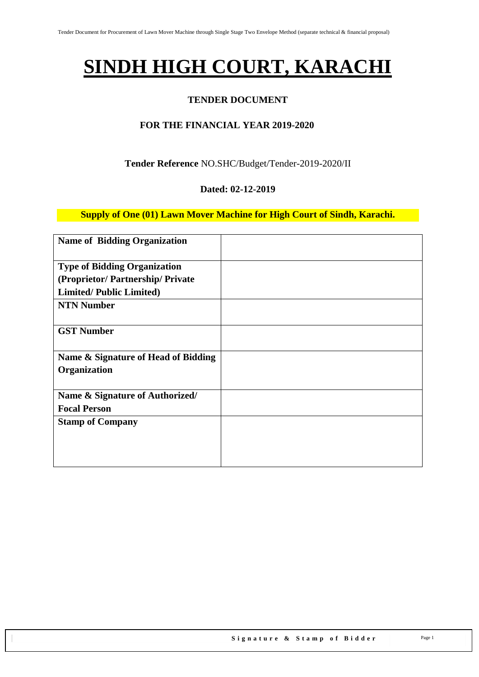# **SINDH HIGH COURT, KARACHI**

#### **TENDER DOCUMENT**

#### **FOR THE FINANCIAL YEAR 2019-2020**

#### **Tender Reference** NO.SHC/Budget/Tender-2019-2020/II

#### **Dated: 02-12-2019**

**Supply of One (01) Lawn Mover Machine for High Court of Sindh, Karachi.**

| <b>Name of Bidding Organization</b> |  |
|-------------------------------------|--|
| <b>Type of Bidding Organization</b> |  |
| (Proprietor/Partnership/Private     |  |
| <b>Limited/Public Limited)</b>      |  |
| <b>NTN Number</b>                   |  |
|                                     |  |
| <b>GST Number</b>                   |  |
|                                     |  |
| Name & Signature of Head of Bidding |  |
| Organization                        |  |
|                                     |  |
| Name & Signature of Authorized/     |  |
| <b>Focal Person</b>                 |  |
| <b>Stamp of Company</b>             |  |
|                                     |  |
|                                     |  |
|                                     |  |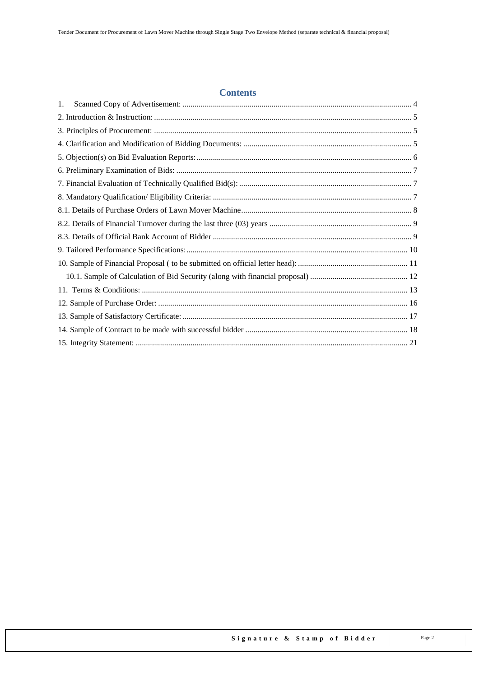#### **Contents**

| 1. |  |
|----|--|
|    |  |
|    |  |
|    |  |
|    |  |
|    |  |
|    |  |
|    |  |
|    |  |
|    |  |
|    |  |
|    |  |
|    |  |
|    |  |
|    |  |
|    |  |
|    |  |
|    |  |
|    |  |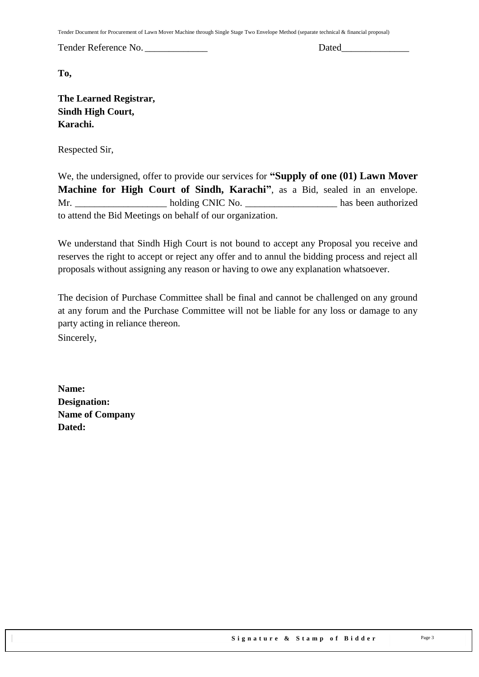Tender Document for Procurement of Lawn Mover Machine through Single Stage Two Envelope Method (separate technical & financial proposal)

Tender Reference No. \_\_\_\_\_\_\_\_\_\_\_\_\_ Dated\_\_\_\_\_\_\_\_\_\_\_\_\_\_

**To,** 

**The Learned Registrar, Sindh High Court, Karachi.**

Respected Sir,

We, the undersigned, offer to provide our services for **"Supply of one (01) Lawn Mover Machine for High Court of Sindh, Karachi"**, as a Bid, sealed in an envelope. Mr. \_\_\_\_\_\_\_\_\_\_\_\_\_\_\_\_\_\_\_ holding CNIC No. \_\_\_\_\_\_\_\_\_\_\_\_\_\_\_\_\_\_\_ has been authorized to attend the Bid Meetings on behalf of our organization.

We understand that Sindh High Court is not bound to accept any Proposal you receive and reserves the right to accept or reject any offer and to annul the bidding process and reject all proposals without assigning any reason or having to owe any explanation whatsoever.

The decision of Purchase Committee shall be final and cannot be challenged on any ground at any forum and the Purchase Committee will not be liable for any loss or damage to any party acting in reliance thereon. Sincerely,

**Name: Designation: Name of Company Dated:**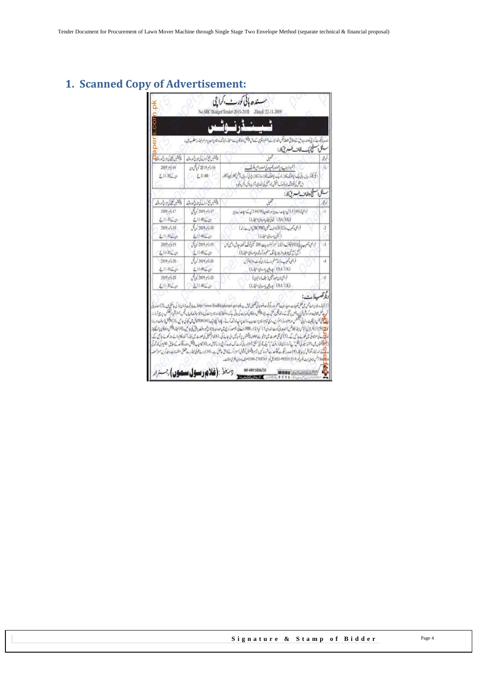# <span id="page-3-0"></span>**1. Scanned Copy of Advertisement:**

|                                        |                                                               | ٹـیـنـڈرنــوٹـس<br>منده بالكيوسندكرا بأماكومندرجد في ك مطابق مصلاتيكس اقدار ليزيت بشراؤ وليكب كالمحالة بالمناس والأبائر بالمساعة والمراسم فيفدر ومطلوب إلى با<br>سنكرا فتنحج بك لغات طسه يقاكار:                                                                                                                                                                                                                                                                                                                                                                                                                                                                                                                                                                                                                                                                                                                                                                                                                                                                                                                                                                                                                                                                                 |         |
|----------------------------------------|---------------------------------------------------------------|----------------------------------------------------------------------------------------------------------------------------------------------------------------------------------------------------------------------------------------------------------------------------------------------------------------------------------------------------------------------------------------------------------------------------------------------------------------------------------------------------------------------------------------------------------------------------------------------------------------------------------------------------------------------------------------------------------------------------------------------------------------------------------------------------------------------------------------------------------------------------------------------------------------------------------------------------------------------------------------------------------------------------------------------------------------------------------------------------------------------------------------------------------------------------------------------------------------------------------------------------------------------------------|---------|
| Abrue Ca                               | وشنعير المحاسك كالدوات                                        |                                                                                                                                                                                                                                                                                                                                                                                                                                                                                                                                                                                                                                                                                                                                                                                                                                                                                                                                                                                                                                                                                                                                                                                                                                                                                  | it d    |
| 2019 -646<br>ون ک11-30 کے              | 16 مايوليو 2019 كوبالمحادث<br>$\frac{2}{10}$ 4.11-00          | آنموہ کو بنب ادبر تشنیہ بنگ میں ایک دہشتگ<br>يل يكتوكر سيال بهانى بيك وعجا لونك وتنازز او بيك ومجال تك التباز ودوز بمناز زجد في كرسيال ما بحس تصور بمييا زمحلول<br>الرجل كأختر قلد ميز (ورك بمثيثن)، المثل كى المعادى أخرن فأكرر يكس وقيره                                                                                                                                                                                                                                                                                                                                                                                                                                                                                                                                                                                                                                                                                                                                                                                                                                                                                                                                                                                                                                       |         |
|                                        |                                                               | ميح وولفات وفسسه بق كار:                                                                                                                                                                                                                                                                                                                                                                                                                                                                                                                                                                                                                                                                                                                                                                                                                                                                                                                                                                                                                                                                                                                                                                                                                                                         | ملكل    |
| ويصنع بالكيانا وخالدونت                | ويقلبون محاسسة كابنار فتأوروقت                                |                                                                                                                                                                                                                                                                                                                                                                                                                                                                                                                                                                                                                                                                                                                                                                                                                                                                                                                                                                                                                                                                                                                                                                                                                                                                                  | h,      |
| 2019 / 5/17<br>$2.11 - 30 \angle \phi$ | $1/2019$ $\frac{1}{2}$ $17$<br>$\xi$ 11-00 $\xi$ <sub>U</sub> | قرابحى فو (69) 5. أنى اساسا ساية اورافخاون (58) 2.0 ش سكة ما باسا باين<br>(تاریخ) / USA (UK) این با این استفاده)                                                                                                                                                                                                                                                                                                                                                                                                                                                                                                                                                                                                                                                                                                                                                                                                                                                                                                                                                                                                                                                                                                                                                                 | Ä       |
| $2019 / \sqrt{18}$<br>$£11-30LCI$      | $\sqrt{2019/918}$<br>$£11-00$                                 | قرابحى دىمب دە(02) فولومىيات شىن (20CPM) سىلەت (دىم)<br>( بالن إسلامي الخطروا)                                                                                                                                                                                                                                                                                                                                                                                                                                                                                                                                                                                                                                                                                                                                                                                                                                                                                                                                                                                                                                                                                                                                                                                                   | $^{12}$ |
| 2019, 5:19<br>$2.1130$ (c)             | $J_1/2019$ $\sim$ 19<br>$2.11 - 00$                           | يا فى (05) ليكترك والركبار ( تم الأنم بضروريات: 200 تميلى كوانك أتحقند، جارش، المبن ليس<br>فرابحي وتحبب<br>المليانع محيام طدوازي جانف سلم الدآوشده باساوى سنبرروا                                                                                                                                                                                                                                                                                                                                                                                                                                                                                                                                                                                                                                                                                                                                                                                                                                                                                                                                                                                                                                                                                                                | 43      |
| 2019, 520<br>$£11-30∠c1$               | $J_1/2019$ $/20$<br>$£11-00L$ <sub>U</sub>                    | فرابحى وتصيب حاذنذ مسلم براسة بالوران كوريندروم كالخرش<br>$(\cup \mathbb{R}^{\mathbb{Z}} \cup \{ \cup \mathbb{Z}_2 \in \mathbb{N} \} \setminus \text{USA} / \text{UK})$                                                                                                                                                                                                                                                                                                                                                                                                                                                                                                                                                                                                                                                                                                                                                                                                                                                                                                                                                                                                                                                                                                          | i4      |
| 2019/220<br>$(11.30\angle\phi)$        | $\sqrt{(2019 - 20)}$<br>$£11-00 \angle$                       | فرابحى لان عود مقين (سيلف إرائيون)<br>(بارى: المريداني) كارونيا بارى المنابطة (بارى)                                                                                                                                                                                                                                                                                                                                                                                                                                                                                                                                                                                                                                                                                                                                                                                                                                                                                                                                                                                                                                                                                                                                                                                             | ış.     |
|                                        |                                                               | ويكرتضب لات<br>(1) كيندرو بنان عن من عمل تصيات معيار البيت آخر اورديم تواعد الواضيل ثال ب http://www.Sindhhighcourt.gov.pk تيت إالأن لواكن ما تتي ثاب (2) منده بل<br>أصيا على شفافيت اوركبتنى أن يدوس محق يست بعد الملقوم والتكان كوجاليت كى جانى يت كدوات والت كى بارا بخدمات كابيال بحس بسلالتين كوللكفور المارزاء<br>المحافظ ليس بينكيث مالياتى المجتمعل اورعلول والمركز بيد المكانون الموسوع المحاسب المستقبل المحالي المواسي المحاسب المحافل المستقبل المحافل المستقبل المحافل المستقبل المحافل المستقبل الموارد المحافل المستقبل المستقبل المست<br>الاقتصاد فرابط بجرل (قانس) فيراد في أورث اندون II كم إذ قذرور AHBL في أم يسترد بالبارة الوردون بوش كوا بك البغدوقيقش المداوي المقيومة<br>لما <mark>ت</mark> کی موجودگی میں کھولے جا کی گے۔(5) کی گلی مورٹ میں تائج کے میں شروع کی میں ایک کا کا کھول کی است کا میں اس کے ایک کے لیے کے میں ایک کے لیے۔<br>اما <mark>ت</mark><br>(فرهم يقبض من 14 باسكير في بقل المائة المائة المائية المحمد المائي الموسسة المستقدم المائي المائة ال المستقبل المحمد المائية والمائية والمحافظة المائية والمائية والمائية والمحمد المائية والمحمد المائية والمحمد المائية وال<br>ما في الدرنية، تفويش كيا جاياً به (9) منده بالكورث تشرك ما تواريخ المواسع المركبة كالتي حاصل ب-(10) براسة توفي نيفرد سة حقق استغدادات البذكري منز آصله |         |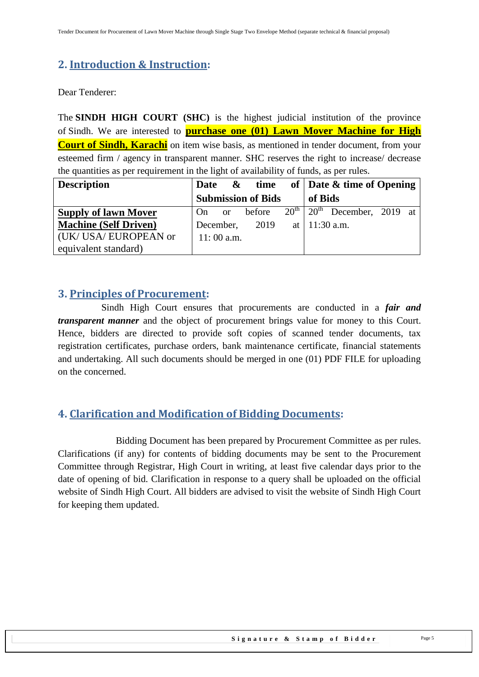## <span id="page-4-0"></span>**2. Introduction & Instruction:**

Dear Tenderer:

The **SINDH HIGH COURT (SHC)** is the highest judicial institution of the province of [Sindh.](https://en.wikipedia.org/wiki/Sindh) We are interested to **purchase one (01) Lawn Mover Machine for High Court of Sindh, Karachi** on item wise basis, as mentioned in tender document, from your esteemed firm / agency in transparent manner. SHC reserves the right to increase/ decrease the quantities as per requirement in the light of availability of funds, as per rules.

| <b>Description</b>           | Date | &             | time                      |                  |                  | of   Date & time of Opening |  |
|------------------------------|------|---------------|---------------------------|------------------|------------------|-----------------------------|--|
|                              |      |               | <b>Submission of Bids</b> |                  | of Bids          |                             |  |
| <b>Supply of lawn Mover</b>  | On   | <sub>or</sub> | before                    | $20^{\text{th}}$ | $20^{\text{th}}$ | December, 2019 at           |  |
| <b>Machine (Self Driven)</b> |      | December,     | 2019                      |                  |                  | at $11:30$ a.m.             |  |
| (UK/ USA/ EUROPEAN or        |      | $11:00$ a.m.  |                           |                  |                  |                             |  |
| equivalent standard)         |      |               |                           |                  |                  |                             |  |

#### <span id="page-4-1"></span>**3. Principles of Procurement:**

 Sindh High Court ensures that procurements are conducted in a *fair and transparent manner* and the object of procurement brings value for money to this Court. Hence, bidders are directed to provide soft copies of scanned tender documents, tax registration certificates, purchase orders, bank maintenance certificate, financial statements and undertaking. All such documents should be merged in one (01) PDF FILE for uploading on the concerned.

## <span id="page-4-2"></span>**4. Clarification and Modification of Bidding Documents:**

Bidding Document has been prepared by Procurement Committee as per rules. Clarifications (if any) for contents of bidding documents may be sent to the Procurement Committee through Registrar, High Court in writing, at least five calendar days prior to the date of opening of bid. Clarification in response to a query shall be uploaded on the official website of Sindh High Court. All bidders are advised to visit the website of Sindh High Court for keeping them updated.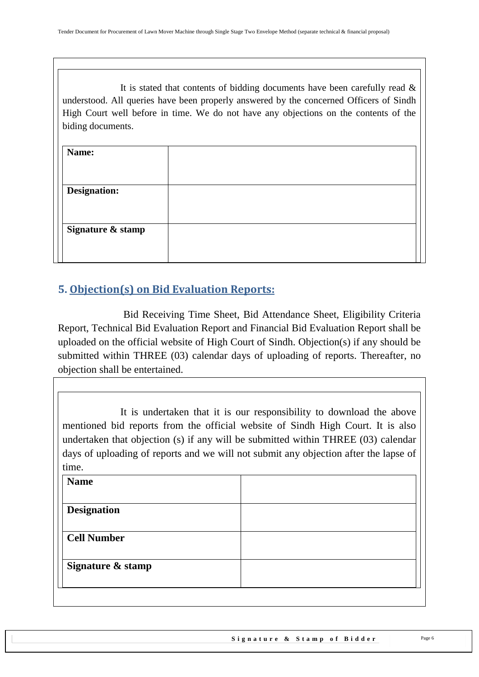It is stated that contents of bidding documents have been carefully read  $\&$ understood. All queries have been properly answered by the concerned Officers of Sindh High Court well before in time. We do not have any objections on the contents of the biding documents.

| Name:               |  |
|---------------------|--|
| <b>Designation:</b> |  |
|                     |  |
| Signature & stamp   |  |
|                     |  |

## <span id="page-5-0"></span>**5. Objection(s) on Bid Evaluation Reports:**

 Bid Receiving Time Sheet, Bid Attendance Sheet, Eligibility Criteria Report, Technical Bid Evaluation Report and Financial Bid Evaluation Report shall be uploaded on the official website of High Court of Sindh. Objection(s) if any should be submitted within THREE (03) calendar days of uploading of reports. Thereafter, no objection shall be entertained.

It is undertaken that it is our responsibility to download the above mentioned bid reports from the official website of Sindh High Court. It is also undertaken that objection (s) if any will be submitted within THREE (03) calendar days of uploading of reports and we will not submit any objection after the lapse of time.

| <b>Name</b>        |  |
|--------------------|--|
| <b>Designation</b> |  |
| <b>Cell Number</b> |  |
|                    |  |
| Signature & stamp  |  |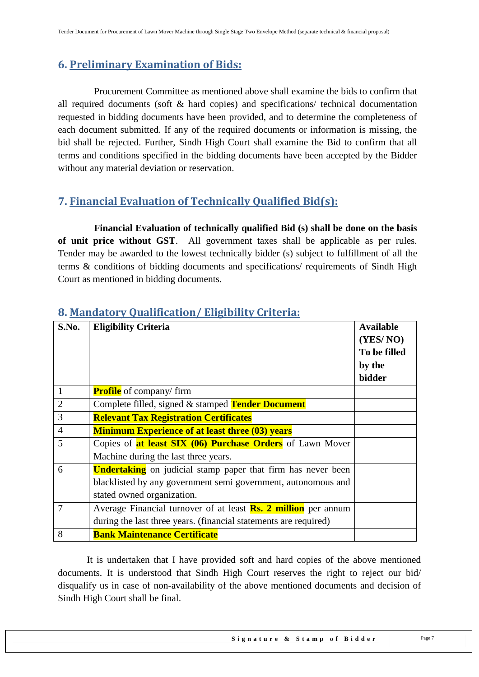## <span id="page-6-0"></span>**6. Preliminary Examination of Bids:**

 Procurement Committee as mentioned above shall examine the bids to confirm that all required documents (soft & hard copies) and specifications/ technical documentation requested in bidding documents have been provided, and to determine the completeness of each document submitted. If any of the required documents or information is missing, the bid shall be rejected. Further, Sindh High Court shall examine the Bid to confirm that all terms and conditions specified in the bidding documents have been accepted by the Bidder without any material deviation or reservation.

## <span id="page-6-1"></span>**7. Financial Evaluation of Technically Qualified Bid(s):**

 **Financial Evaluation of technically qualified Bid (s) shall be done on the basis of unit price without GST**. All government taxes shall be applicable as per rules. Tender may be awarded to the lowest technically bidder (s) subject to fulfillment of all the terms & conditions of bidding documents and specifications/ requirements of Sindh High Court as mentioned in bidding documents.

| S.No.          | <b>Eligibility Criteria</b>                                               | <b>Available</b><br>(YES/NO)<br>To be filled<br>by the<br>bidder |
|----------------|---------------------------------------------------------------------------|------------------------------------------------------------------|
| 1              | <b>Profile</b> of company/firm                                            |                                                                  |
| $\overline{2}$ | Complete filled, signed & stamped Tender Document                         |                                                                  |
| 3              | <b>Relevant Tax Registration Certificates</b>                             |                                                                  |
| $\overline{4}$ | <b>Minimum Experience of at least three (03) years</b>                    |                                                                  |
| 5              | Copies of <b>at least SIX (06) Purchase Orders</b> of Lawn Mover          |                                                                  |
|                | Machine during the last three years.                                      |                                                                  |
| 6              | <b>Undertaking</b> on judicial stamp paper that firm has never been       |                                                                  |
|                | blacklisted by any government semi government, autonomous and             |                                                                  |
|                | stated owned organization.                                                |                                                                  |
| 7              | Average Financial turnover of at least $\mathbf{Rs.}$ 2 million per annum |                                                                  |
|                | during the last three years. (financial statements are required)          |                                                                  |
| 8              | <b>Bank Maintenance Certificate</b>                                       |                                                                  |

## <span id="page-6-2"></span>**8. Mandatory Qualification/ Eligibility Criteria:**

It is undertaken that I have provided soft and hard copies of the above mentioned documents. It is understood that Sindh High Court reserves the right to reject our bid/ disqualify us in case of non-availability of the above mentioned documents and decision of Sindh High Court shall be final.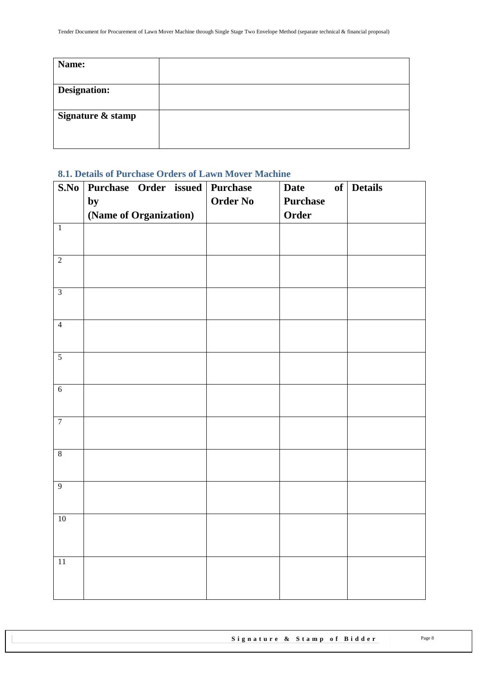| Name:               |  |
|---------------------|--|
|                     |  |
| <b>Designation:</b> |  |
|                     |  |
| Signature & stamp   |  |
|                     |  |
|                     |  |
|                     |  |

## <span id="page-7-0"></span>**8.1. Details of Purchase Orders of Lawn Mover Machine**

| S.No           | Purchase Order issued Purchase |                 | <b>Date</b>     | of Details |
|----------------|--------------------------------|-----------------|-----------------|------------|
|                | by                             | <b>Order No</b> | <b>Purchase</b> |            |
|                | (Name of Organization)         |                 | Order           |            |
| $\overline{1}$ |                                |                 |                 |            |
|                |                                |                 |                 |            |
| $\overline{2}$ |                                |                 |                 |            |
|                |                                |                 |                 |            |
| $\overline{3}$ |                                |                 |                 |            |
|                |                                |                 |                 |            |
| $\overline{4}$ |                                |                 |                 |            |
|                |                                |                 |                 |            |
| $\overline{5}$ |                                |                 |                 |            |
|                |                                |                 |                 |            |
| $\overline{6}$ |                                |                 |                 |            |
|                |                                |                 |                 |            |
| $\overline{7}$ |                                |                 |                 |            |
|                |                                |                 |                 |            |
| $8$            |                                |                 |                 |            |
|                |                                |                 |                 |            |
| $\overline{9}$ |                                |                 |                 |            |
|                |                                |                 |                 |            |
| $10$           |                                |                 |                 |            |
|                |                                |                 |                 |            |
|                |                                |                 |                 |            |
| $11\,$         |                                |                 |                 |            |
|                |                                |                 |                 |            |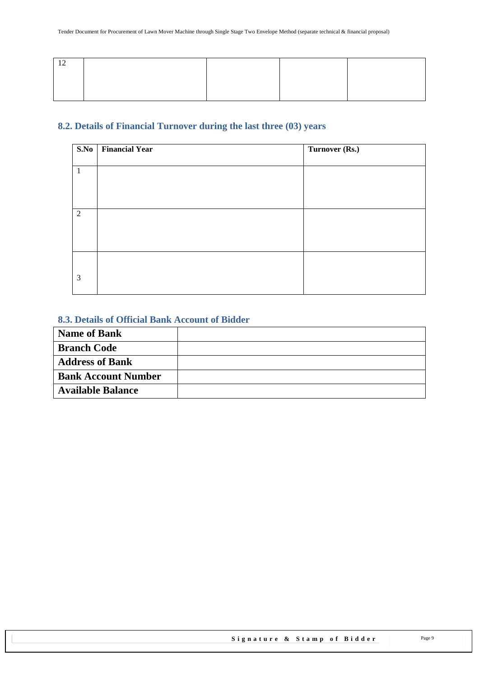#### <span id="page-8-0"></span>**8.2. Details of Financial Turnover during the last three (03) years**

| S.No | <b>Financial Year</b> | Turnover (Rs.) |
|------|-----------------------|----------------|
|      |                       |                |
| -1   |                       |                |
|      |                       |                |
|      |                       |                |
|      |                       |                |
| 2    |                       |                |
|      |                       |                |
|      |                       |                |
|      |                       |                |
|      |                       |                |
| 3    |                       |                |
|      |                       |                |

#### <span id="page-8-1"></span>**8.3. Details of Official Bank Account of Bidder**

| <b>Name of Bank</b>        |  |
|----------------------------|--|
| <b>Branch Code</b>         |  |
| <b>Address of Bank</b>     |  |
| <b>Bank Account Number</b> |  |
| <b>Available Balance</b>   |  |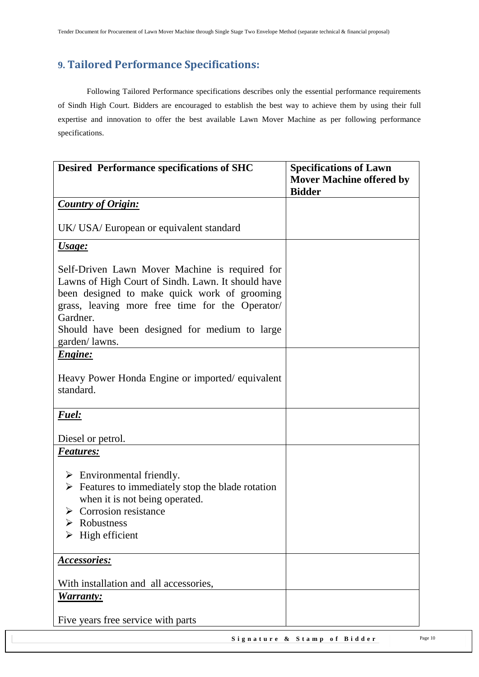## <span id="page-9-0"></span>**9. Tailored Performance Specifications:**

Following Tailored Performance specifications describes only the essential performance requirements of Sindh High Court. Bidders are encouraged to establish the best way to achieve them by using their full expertise and innovation to offer the best available Lawn Mover Machine as per following performance specifications.

| <b>Desired Performance specifications of SHC</b>                                                                                                                                                                                                                     | <b>Specifications of Lawn</b><br><b>Mover Machine offered by</b> |
|----------------------------------------------------------------------------------------------------------------------------------------------------------------------------------------------------------------------------------------------------------------------|------------------------------------------------------------------|
|                                                                                                                                                                                                                                                                      | <b>Bidder</b>                                                    |
| <b>Country of Origin:</b>                                                                                                                                                                                                                                            |                                                                  |
| UK/ USA/ European or equivalent standard                                                                                                                                                                                                                             |                                                                  |
| <u><b>Usage:</b></u>                                                                                                                                                                                                                                                 |                                                                  |
| Self-Driven Lawn Mover Machine is required for<br>Lawns of High Court of Sindh. Lawn. It should have<br>been designed to make quick work of grooming<br>grass, leaving more free time for the Operator/<br>Gardner.<br>Should have been designed for medium to large |                                                                  |
| garden/lawns.                                                                                                                                                                                                                                                        |                                                                  |
| <b><i>Engine:</i></b>                                                                                                                                                                                                                                                |                                                                  |
| Heavy Power Honda Engine or imported/equivalent<br>standard.                                                                                                                                                                                                         |                                                                  |
| Fuel:                                                                                                                                                                                                                                                                |                                                                  |
| Diesel or petrol.                                                                                                                                                                                                                                                    |                                                                  |
| <b>Features:</b>                                                                                                                                                                                                                                                     |                                                                  |
| $\triangleright$ Environmental friendly.<br>$\triangleright$ Features to immediately stop the blade rotation<br>when it is not being operated.<br>$\triangleright$ Corrosion resistance<br>Robustness<br>$\triangleright$ High efficient                             |                                                                  |
| <b>Accessories:</b>                                                                                                                                                                                                                                                  |                                                                  |
| With installation and all accessories,<br><b>Warranty:</b>                                                                                                                                                                                                           |                                                                  |
| Five years free service with parts                                                                                                                                                                                                                                   |                                                                  |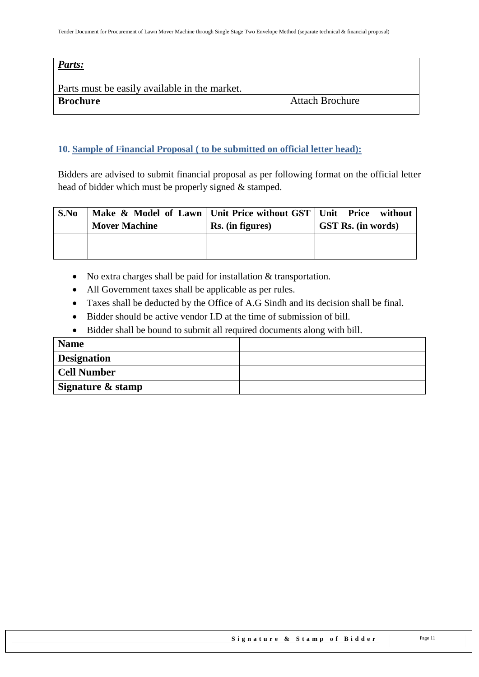| Parts:                                        |                        |
|-----------------------------------------------|------------------------|
| Parts must be easily available in the market. |                        |
| <b>Brochure</b>                               | <b>Attach Brochure</b> |

#### <span id="page-10-0"></span>**10. Sample of Financial Proposal ( to be submitted on official letter head):**

Bidders are advised to submit financial proposal as per following format on the official letter head of bidder which must be properly signed & stamped.

| S.No | Make & Model of Lawn   Unit Price without GST   Unit Price without<br><b>Mover Machine</b> | Rs. (in figures) | <b>GST Rs.</b> (in words) |
|------|--------------------------------------------------------------------------------------------|------------------|---------------------------|
|      |                                                                                            |                  |                           |

- No extra charges shall be paid for installation & transportation.
- All Government taxes shall be applicable as per rules.
- Taxes shall be deducted by the Office of A.G Sindh and its decision shall be final.
- Bidder should be active vendor I.D at the time of submission of bill.
- Bidder shall be bound to submit all required documents along with bill.

| <b>Name</b>        |  |
|--------------------|--|
| <b>Designation</b> |  |
| <b>Cell Number</b> |  |
| Signature & stamp  |  |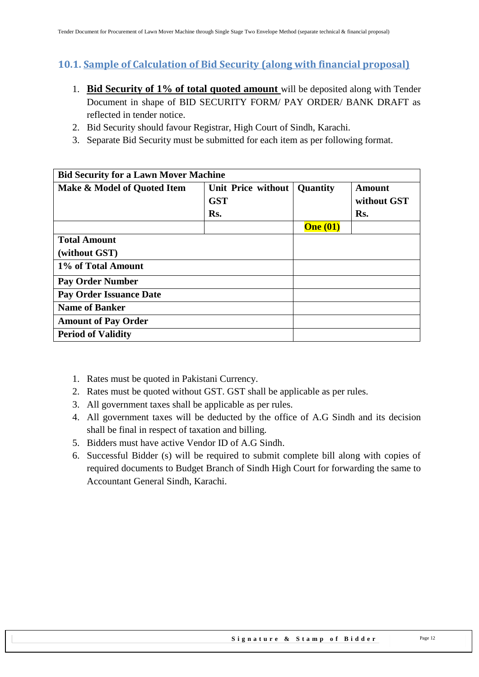## <span id="page-11-0"></span>**10.1. Sample of Calculation of Bid Security (along with financial proposal)**

- 1. **Bid Security of 1% of total quoted amount** will be deposited along with Tender Document in shape of BID SECURITY FORM/ PAY ORDER/ BANK DRAFT as reflected in tender notice.
- 2. Bid Security should favour Registrar, High Court of Sindh, Karachi.
- 3. Separate Bid Security must be submitted for each item as per following format.

| <b>Bid Security for a Lawn Mover Machine</b> |                                                |                 |                                     |
|----------------------------------------------|------------------------------------------------|-----------------|-------------------------------------|
| Make & Model of Quoted Item                  | <b>Unit Price without</b><br><b>GST</b><br>Rs. | Quantity        | <b>Amount</b><br>without GST<br>Rs. |
|                                              |                                                | <b>One</b> (01) |                                     |
| <b>Total Amount</b><br>(without GST)         |                                                |                 |                                     |
| 1% of Total Amount                           |                                                |                 |                                     |
| <b>Pay Order Number</b>                      |                                                |                 |                                     |
| <b>Pay Order Issuance Date</b>               |                                                |                 |                                     |
| <b>Name of Banker</b>                        |                                                |                 |                                     |
| <b>Amount of Pay Order</b>                   |                                                |                 |                                     |
| <b>Period of Validity</b>                    |                                                |                 |                                     |

- 1. Rates must be quoted in Pakistani Currency.
- 2. Rates must be quoted without GST. GST shall be applicable as per rules.
- 3. All government taxes shall be applicable as per rules.
- 4. All government taxes will be deducted by the office of A.G Sindh and its decision shall be final in respect of taxation and billing.
- 5. Bidders must have active Vendor ID of A.G Sindh.
- 6. Successful Bidder (s) will be required to submit complete bill along with copies of required documents to Budget Branch of Sindh High Court for forwarding the same to Accountant General Sindh, Karachi.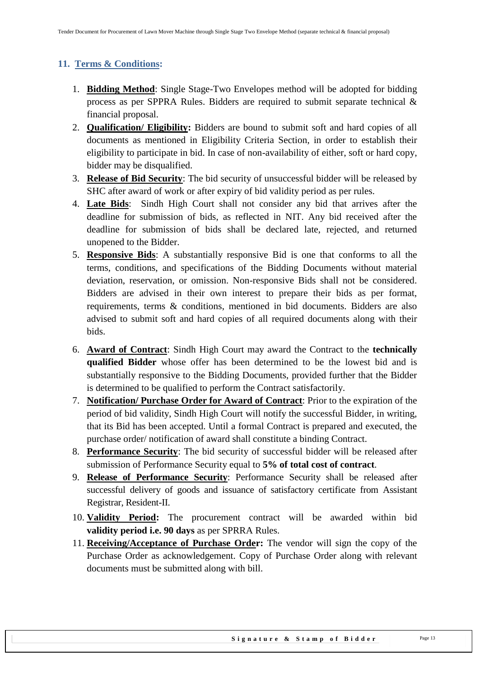## <span id="page-12-0"></span>**11. Terms & Conditions:**

- 1. **Bidding Method**: Single Stage-Two Envelopes method will be adopted for bidding process as per SPPRA Rules. Bidders are required to submit separate technical & financial proposal.
- 2. **Qualification/ Eligibility:** Bidders are bound to submit soft and hard copies of all documents as mentioned in Eligibility Criteria Section, in order to establish their eligibility to participate in bid. In case of non-availability of either, soft or hard copy, bidder may be disqualified.
- 3. **Release of Bid Security**: The bid security of unsuccessful bidder will be released by SHC after award of work or after expiry of bid validity period as per rules.
- 4. **Late Bids**: Sindh High Court shall not consider any bid that arrives after the deadline for submission of bids, as reflected in NIT. Any bid received after the deadline for submission of bids shall be declared late, rejected, and returned unopened to the Bidder.
- 5. **Responsive Bids**: A substantially responsive Bid is one that conforms to all the terms, conditions, and specifications of the Bidding Documents without material deviation, reservation, or omission. Non-responsive Bids shall not be considered. Bidders are advised in their own interest to prepare their bids as per format, requirements, terms & conditions, mentioned in bid documents. Bidders are also advised to submit soft and hard copies of all required documents along with their bids.
- 6. **Award of Contract**: Sindh High Court may award the Contract to the **technically qualified Bidder** whose offer has been determined to be the lowest bid and is substantially responsive to the Bidding Documents, provided further that the Bidder is determined to be qualified to perform the Contract satisfactorily.
- 7. **Notification/ Purchase Order for Award of Contract**: Prior to the expiration of the period of bid validity, Sindh High Court will notify the successful Bidder, in writing, that its Bid has been accepted. Until a formal Contract is prepared and executed, the purchase order/ notification of award shall constitute a binding Contract.
- 8. **Performance Security**: The bid security of successful bidder will be released after submission of Performance Security equal to **5% of total cost of contract**.
- 9. **Release of Performance Security**: Performance Security shall be released after successful delivery of goods and issuance of satisfactory certificate from Assistant Registrar, Resident-II.
- 10. **Validity Period:** The procurement contract will be awarded within bid **validity period i.e. 90 days** as per SPRRA Rules.
- 11. **Receiving/Acceptance of Purchase Order:** The vendor will sign the copy of the Purchase Order as acknowledgement. Copy of Purchase Order along with relevant documents must be submitted along with bill.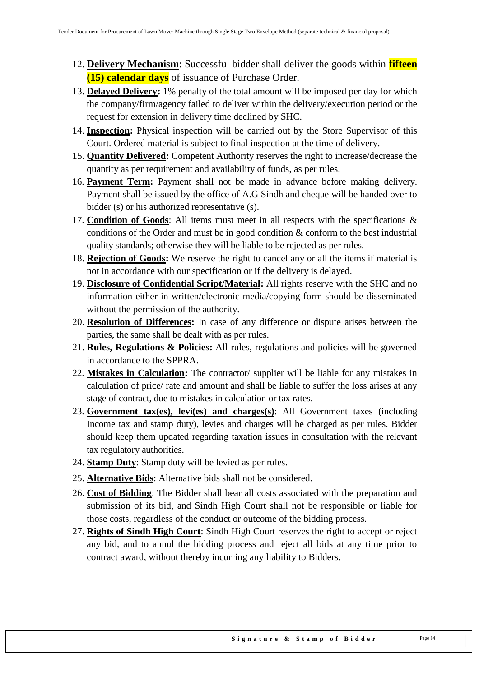- 12. **Delivery Mechanism**: Successful bidder shall deliver the goods within **fifteen (15) calendar days** of issuance of Purchase Order.
- 13. **Delayed Delivery:** 1% penalty of the total amount will be imposed per day for which the company/firm/agency failed to deliver within the delivery/execution period or the request for extension in delivery time declined by SHC.
- 14. **Inspection:** Physical inspection will be carried out by the Store Supervisor of this Court. Ordered material is subject to final inspection at the time of delivery.
- 15. **Quantity Delivered:** Competent Authority reserves the right to increase/decrease the quantity as per requirement and availability of funds, as per rules.
- 16. **Payment Term:** Payment shall not be made in advance before making delivery. Payment shall be issued by the office of A.G Sindh and cheque will be handed over to bidder (s) or his authorized representative (s).
- 17. **Condition of Goods**: All items must meet in all respects with the specifications & conditions of the Order and must be in good condition & conform to the best industrial quality standards; otherwise they will be liable to be rejected as per rules.
- 18. **Rejection of Goods:** We reserve the right to cancel any or all the items if material is not in accordance with our specification or if the delivery is delayed.
- 19. **Disclosure of Confidential Script/Material:** All rights reserve with the SHC and no information either in written/electronic media/copying form should be disseminated without the permission of the authority.
- 20. **Resolution of Differences:** In case of any difference or dispute arises between the parties, the same shall be dealt with as per rules.
- 21. **Rules, Regulations & Policies:** All rules, regulations and policies will be governed in accordance to the SPPRA.
- 22. **Mistakes in Calculation:** The contractor/ supplier will be liable for any mistakes in calculation of price/ rate and amount and shall be liable to suffer the loss arises at any stage of contract, due to mistakes in calculation or tax rates.
- 23. **Government tax(es), levi(es) and charges(s)**: All Government taxes (including Income tax and stamp duty), levies and charges will be charged as per rules. Bidder should keep them updated regarding taxation issues in consultation with the relevant tax regulatory authorities.
- 24. **Stamp Duty**: Stamp duty will be levied as per rules.
- 25. **Alternative Bids**: Alternative bids shall not be considered.
- 26. **Cost of Bidding**: The Bidder shall bear all costs associated with the preparation and submission of its bid, and Sindh High Court shall not be responsible or liable for those costs, regardless of the conduct or outcome of the bidding process.
- 27. **Rights of Sindh High Court**: Sindh High Court reserves the right to accept or reject any bid, and to annul the bidding process and reject all bids at any time prior to contract award, without thereby incurring any liability to Bidders.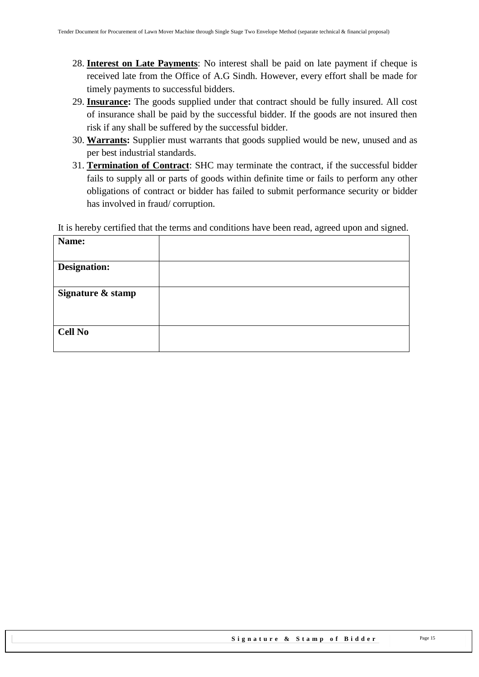- 28. **Interest on Late Payments**: No interest shall be paid on late payment if cheque is received late from the Office of A.G Sindh. However, every effort shall be made for timely payments to successful bidders.
- 29. **Insurance:** The goods supplied under that contract should be fully insured. All cost of insurance shall be paid by the successful bidder. If the goods are not insured then risk if any shall be suffered by the successful bidder.
- 30. **Warrants:** Supplier must warrants that goods supplied would be new, unused and as per best industrial standards.
- 31. **Termination of Contract**: SHC may terminate the contract, if the successful bidder fails to supply all or parts of goods within definite time or fails to perform any other obligations of contract or bidder has failed to submit performance security or bidder has involved in fraud/ corruption.

It is hereby certified that the terms and conditions have been read, agreed upon and signed.

| Name:               |  |
|---------------------|--|
| <b>Designation:</b> |  |
| Signature & stamp   |  |
| <b>Cell No</b>      |  |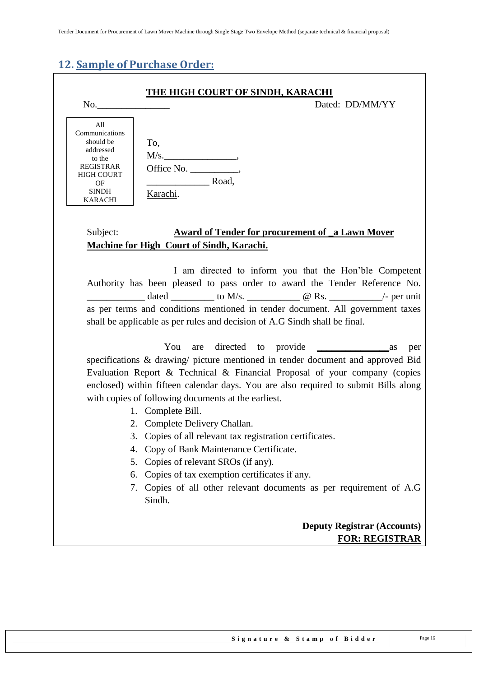## <span id="page-15-0"></span>**12. Sample of Purchase Order:**

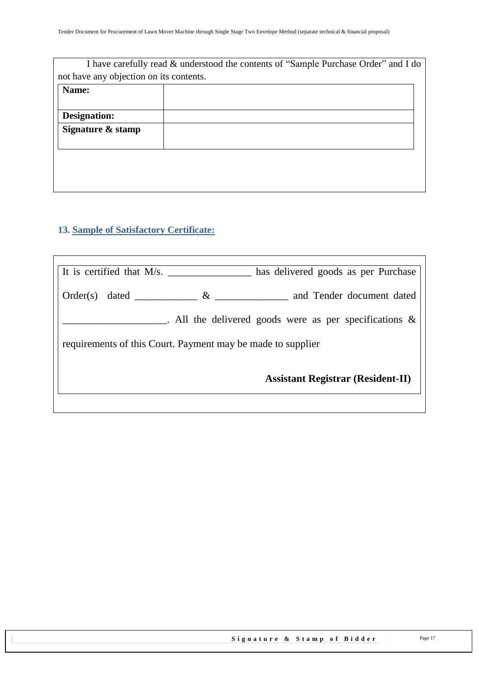| I have carefully read & understood the contents of "Sample Purchase Order" and I do |
|-------------------------------------------------------------------------------------|
| not have any objection on its contents.                                             |
|                                                                                     |
|                                                                                     |
|                                                                                     |
|                                                                                     |
|                                                                                     |
|                                                                                     |
|                                                                                     |
|                                                                                     |
|                                                                                     |

## <span id="page-16-0"></span>**13. Sample of Satisfactory Certificate:**

| It is certified that $M/s$ .<br>has delivered goods as per Purchase |  |
|---------------------------------------------------------------------|--|
| and Tender document dated<br>$\&$<br>Order(s)<br>dated              |  |
| . All the delivered goods were as per specifications $\&$           |  |
| requirements of this Court. Payment may be made to supplier         |  |
| <b>Assistant Registrar (Resident-II)</b>                            |  |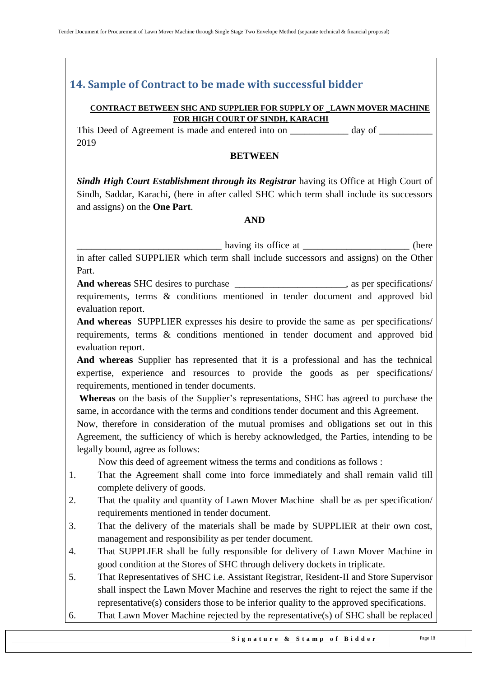## <span id="page-17-0"></span>**14. Sample of Contract to be made with successful bidder**

#### **CONTRACT BETWEEN SHC AND SUPPLIER FOR SUPPLY OF \_LAWN MOVER MACHINE FOR HIGH COURT OF SINDH, KARACHI**

This Deed of Agreement is made and entered into on day of  $\alpha$ 2019

#### **BETWEEN**

*Sindh High Court Establishment through its Registrar having its Office at High Court of* Sindh, Saddar, Karachi, (here in after called SHC which term shall include its successors and assigns) on the **One Part**.

#### **AND**

\_\_\_\_\_\_\_\_\_\_\_\_\_\_\_\_\_\_\_\_\_\_\_\_\_\_\_\_\_\_ having its office at \_\_\_\_\_\_\_\_\_\_\_\_\_\_\_\_\_\_\_\_\_\_ (here in after called SUPPLIER which term shall include successors and assigns) on the Other Part.

And whereas SHC desires to purchase the set of the set of the set of the set of the set of the set of the set of the set of the set of the set of the set of the set of the set of the set of the set of the set of the set of requirements, terms & conditions mentioned in tender document and approved bid evaluation report.

**And whereas** SUPPLIER expresses his desire to provide the same as per specifications/ requirements, terms & conditions mentioned in tender document and approved bid evaluation report.

**And whereas** Supplier has represented that it is a professional and has the technical expertise, experience and resources to provide the goods as per specifications/ requirements, mentioned in tender documents.

**Whereas** on the basis of the Supplier"s representations, SHC has agreed to purchase the same, in accordance with the terms and conditions tender document and this Agreement.

Now, therefore in consideration of the mutual promises and obligations set out in this Agreement, the sufficiency of which is hereby acknowledged, the Parties, intending to be legally bound, agree as follows:

Now this deed of agreement witness the terms and conditions as follows :

- 1. That the Agreement shall come into force immediately and shall remain valid till complete delivery of goods.
- 2. That the quality and quantity of Lawn Mover Machine shall be as per specification/ requirements mentioned in tender document.
- 3. That the delivery of the materials shall be made by SUPPLIER at their own cost, management and responsibility as per tender document.
- 4. That SUPPLIER shall be fully responsible for delivery of Lawn Mover Machine in good condition at the Stores of SHC through delivery dockets in triplicate.
- 5. That Representatives of SHC i.e. Assistant Registrar, Resident-II and Store Supervisor shall inspect the Lawn Mover Machine and reserves the right to reject the same if the representative(s) considers those to be inferior quality to the approved specifications.
- 6. That Lawn Mover Machine rejected by the representative(s) of SHC shall be replaced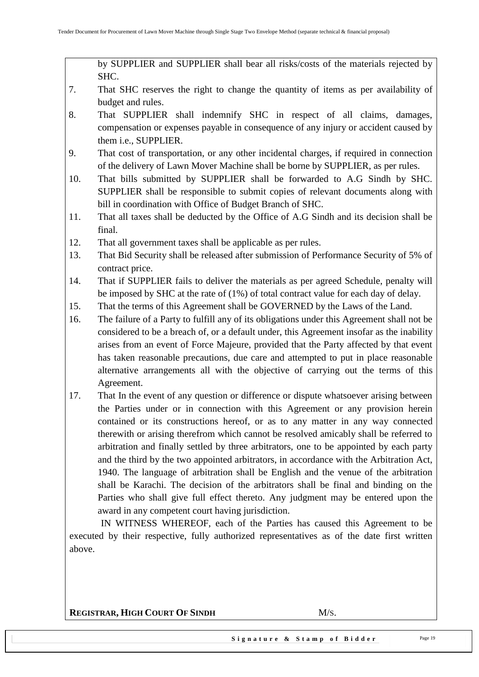by SUPPLIER and SUPPLIER shall bear all risks/costs of the materials rejected by SHC.

- 7. That SHC reserves the right to change the quantity of items as per availability of budget and rules.
- 8. That SUPPLIER shall indemnify SHC in respect of all claims, damages, compensation or expenses payable in consequence of any injury or accident caused by them i.e., SUPPLIER.
- 9. That cost of transportation, or any other incidental charges, if required in connection of the delivery of Lawn Mover Machine shall be borne by SUPPLIER, as per rules.
- 10. That bills submitted by SUPPLIER shall be forwarded to A.G Sindh by SHC. SUPPLIER shall be responsible to submit copies of relevant documents along with bill in coordination with Office of Budget Branch of SHC.
- 11. That all taxes shall be deducted by the Office of A.G Sindh and its decision shall be final.
- 12. That all government taxes shall be applicable as per rules.
- 13. That Bid Security shall be released after submission of Performance Security of 5% of contract price.
- 14. That if SUPPLIER fails to deliver the materials as per agreed Schedule, penalty will be imposed by SHC at the rate of (1%) of total contract value for each day of delay.
- 15. That the terms of this Agreement shall be GOVERNED by the Laws of the Land.
- 16. The failure of a Party to fulfill any of its obligations under this Agreement shall not be considered to be a breach of, or a default under, this Agreement insofar as the inability arises from an event of Force Majeure, provided that the Party affected by that event has taken reasonable precautions, due care and attempted to put in place reasonable alternative arrangements all with the objective of carrying out the terms of this Agreement.
- 17. That In the event of any question or difference or dispute whatsoever arising between the Parties under or in connection with this Agreement or any provision herein contained or its constructions hereof, or as to any matter in any way connected therewith or arising therefrom which cannot be resolved amicably shall be referred to arbitration and finally settled by three arbitrators, one to be appointed by each party and the third by the two appointed arbitrators, in accordance with the Arbitration Act, 1940. The language of arbitration shall be English and the venue of the arbitration shall be Karachi. The decision of the arbitrators shall be final and binding on the Parties who shall give full effect thereto. Any judgment may be entered upon the award in any competent court having jurisdiction.

 IN WITNESS WHEREOF, each of the Parties has caused this Agreement to be executed by their respective, fully authorized representatives as of the date first written above.

**REGISTRAR, HIGH COURT OF SINDH** M/S.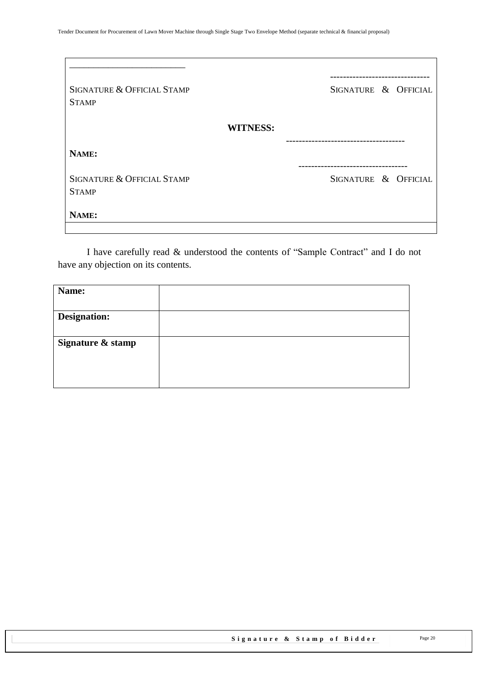| SIGNATURE & OFFICIAL STAMP<br><b>STAMP</b> | SIGNATURE & OFFICIAL |
|--------------------------------------------|----------------------|
| <b>WITNESS:</b>                            |                      |
| NAME:                                      |                      |
| SIGNATURE & OFFICIAL STAMP<br><b>STAMP</b> | SIGNATURE & OFFICIAL |
| NAME:                                      |                      |

I have carefully read & understood the contents of "Sample Contract" and I do not have any objection on its contents.

| Name:               |  |
|---------------------|--|
|                     |  |
| <b>Designation:</b> |  |
|                     |  |
| Signature & stamp   |  |
|                     |  |
|                     |  |
|                     |  |